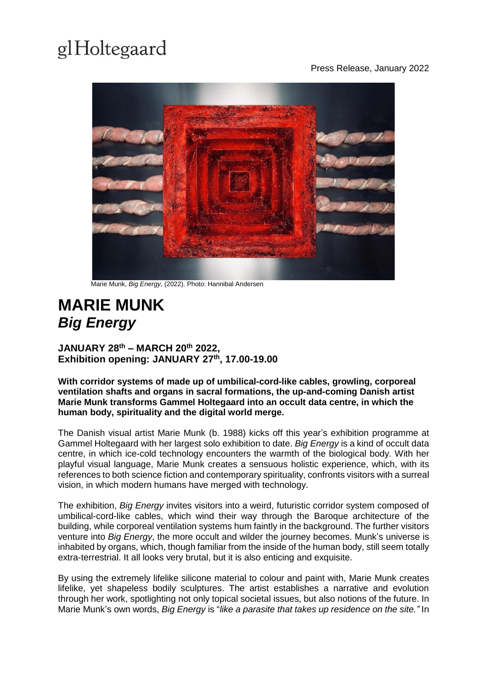# glHoltegaard

Press Release, January 2022



Marie Munk, *Big Energy*, (2022). Photo: Hannibal Andersen

## **MARIE MUNK** *Big Energy*

**JANUARY 28 th – MARCH 20th 2022, Exhibition opening: JANUARY 27 th , 17.00-19.00**

**With corridor systems of made up of umbilical-cord-like cables, growling, corporeal ventilation shafts and organs in sacral formations, the up-and-coming Danish artist Marie Munk transforms Gammel Holtegaard into an occult data centre, in which the human body, spirituality and the digital world merge.**

The Danish visual artist Marie Munk (b. 1988) kicks off this year's exhibition programme at Gammel Holtegaard with her largest solo exhibition to date. *Big Energy* is a kind of occult data centre, in which ice-cold technology encounters the warmth of the biological body. With her playful visual language, Marie Munk creates a sensuous holistic experience, which, with its references to both science fiction and contemporary spirituality, confronts visitors with a surreal vision, in which modern humans have merged with technology.

The exhibition, *Big Energy* invites visitors into a weird, futuristic corridor system composed of umbilical-cord-like cables, which wind their way through the Baroque architecture of the building, while corporeal ventilation systems hum faintly in the background. The further visitors venture into *Big Energy*, the more occult and wilder the journey becomes. Munk's universe is inhabited by organs, which, though familiar from the inside of the human body, still seem totally extra-terrestrial. It all looks very brutal, but it is also enticing and exquisite.

By using the extremely lifelike silicone material to colour and paint with, Marie Munk creates lifelike, yet shapeless bodily sculptures. The artist establishes a narrative and evolution through her work, spotlighting not only topical societal issues, but also notions of the future. In Marie Munk's own words, *Big Energy* is "*like a parasite that takes up residence on the site."* In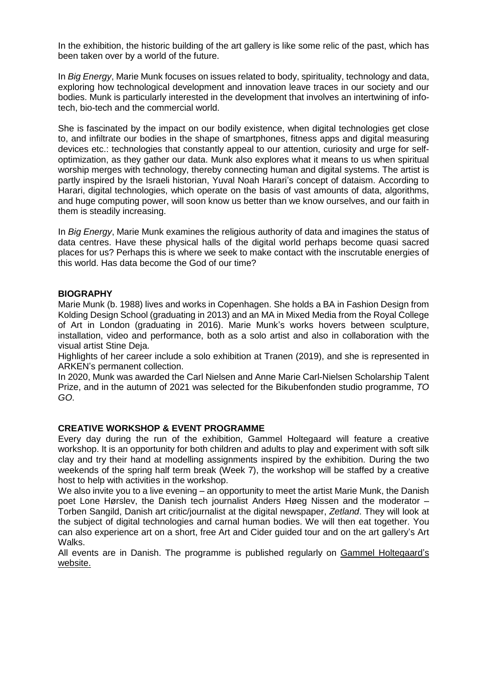In the exhibition, the historic building of the art gallery is like some relic of the past, which has been taken over by a world of the future.

In *Big Energy*, Marie Munk focuses on issues related to body, spirituality, technology and data, exploring how technological development and innovation leave traces in our society and our bodies. Munk is particularly interested in the development that involves an intertwining of infotech, bio-tech and the commercial world.

She is fascinated by the impact on our bodily existence, when digital technologies get close to, and infiltrate our bodies in the shape of smartphones, fitness apps and digital measuring devices etc.: technologies that constantly appeal to our attention, curiosity and urge for selfoptimization, as they gather our data. Munk also explores what it means to us when spiritual worship merges with technology, thereby connecting human and digital systems. The artist is partly inspired by the Israeli historian, Yuval Noah Harari's concept of dataism. According to Harari, digital technologies, which operate on the basis of vast amounts of data, algorithms, and huge computing power, will soon know us better than we know ourselves, and our faith in them is steadily increasing.

In *Big Energy*, Marie Munk examines the religious authority of data and imagines the status of data centres. Have these physical halls of the digital world perhaps become quasi sacred places for us? Perhaps this is where we seek to make contact with the inscrutable energies of this world. Has data become the God of our time?

### **BIOGRAPHY**

Marie Munk (b. 1988) lives and works in Copenhagen. She holds a BA in Fashion Design from Kolding Design School (graduating in 2013) and an MA in Mixed Media from the Royal College of Art in London (graduating in 2016). Marie Munk's works hovers between sculpture, installation, video and performance, both as a solo artist and also in collaboration with the visual artist Stine Deja.

Highlights of her career include a solo exhibition at Tranen (2019), and she is represented in ARKEN's permanent collection.

In 2020, Munk was awarded the Carl Nielsen and Anne Marie Carl-Nielsen Scholarship Talent Prize, and in the autumn of 2021 was selected for the Bikubenfonden studio programme, *TO GO*.

### **CREATIVE WORKSHOP & EVENT PROGRAMME**

Every day during the run of the exhibition, Gammel Holtegaard will feature a creative workshop. It is an opportunity for both children and adults to play and experiment with soft silk clay and try their hand at modelling assignments inspired by the exhibition. During the two weekends of the spring half term break (Week 7), the workshop will be staffed by a creative host to help with activities in the workshop.

We also invite you to a live evening – an opportunity to meet the artist Marie Munk, the Danish poet Lone Hørslev, the Danish tech journalist Anders Høeg Nissen and the moderator – Torben Sangild, Danish art critic/journalist at the digital newspaper, *Zetland*. They will look at the subject of digital technologies and carnal human bodies. We will then eat together. You can also experience art on a short, free Art and Cider guided tour and on the art gallery's Art Walks.

All events are in Danish. The programme is published regularly on Gammel [Holtegaard's](http://www.glholtegaard.dk/) [website.](http://www.glholtegaard.dk/)